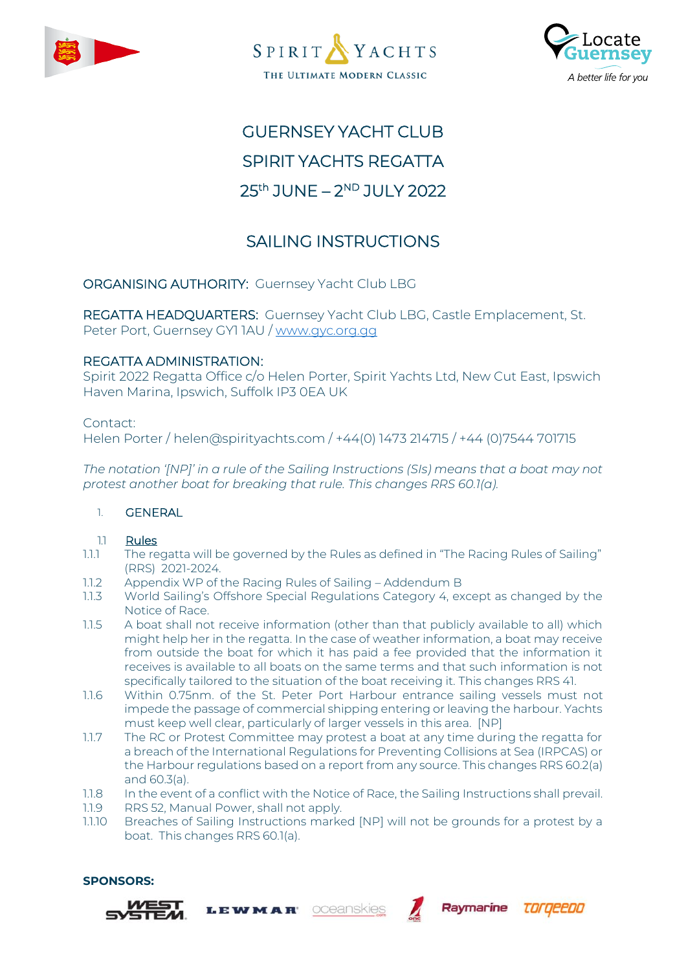





# GUERNSEY YACHT CLUB SPIRIT YACHTS REGATTA 25<sup>th</sup> JUNE – 2<sup>ND</sup> JULY 2022

## SAILING INSTRUCTIONS

ORGANISING AUTHORITY: Guernsey Yacht Club LBG

REGATTA HEADQUARTERS: Guernsey Yacht Club LBG, Castle Emplacement, St. Peter Port, Guernsey GY1 1AU / [www.gyc.org.gg](http://www.gyc.org.gg/)

## REGATTA ADMINISTRATION:

Spirit 2022 Regatta Office c/o Helen Porter, Spirit Yachts Ltd, New Cut East, Ipswich Haven Marina, Ipswich, Suffolk IP3 0EA UK

Contact:

Helen Porter / helen@spirityachts.com / +44(0) 1473 214715 / +44 (0)7544 701715

*The notation '[NP]' in a rule of the Sailing Instructions (SIs) means that a boat may not protest another boat for breaking that rule. This changes RRS 60.1(a).*

## 1. GENERAL

## 1.1 Rules

- 1.1.1 The regatta will be governed by the Rules as defined in "The Racing Rules of Sailing" (RRS) 2021-2024.
- 1.1.2 Appendix WP of the Racing Rules of Sailing Addendum B
- 1.1.3 World Sailing's Offshore Special Regulations Category 4, except as changed by the Notice of Race.
- 1.1.5 A boat shall not receive information (other than that publicly available to all) which might help her in the regatta. In the case of weather information, a boat may receive from outside the boat for which it has paid a fee provided that the information it receives is available to all boats on the same terms and that such information is not specifically tailored to the situation of the boat receiving it. This changes RRS 41.
- 1.1.6 Within 0.75nm. of the St. Peter Port Harbour entrance sailing vessels must not impede the passage of commercial shipping entering or leaving the harbour. Yachts must keep well clear, particularly of larger vessels in this area. [NP]
- 1.1.7 The RC or Protest Committee may protest a boat at any time during the regatta for a breach of the International Regulations for Preventing Collisions at Sea (IRPCAS) or the Harbour regulations based on a report from any source. This changes RRS 60.2(a) and 60.3(a).
- 1.1.8 In the event of a conflict with the Notice of Race, the Sailing Instructions shall prevail.
- 1.1.9 RRS 52, Manual Power, shall not apply.

**LEWMAR** 

1.1.10 Breaches of Sailing Instructions marked [NP] will not be grounds for a protest by a boat. This changes RRS 60.1(a).

oceanskies

Raymarine

torgeepo

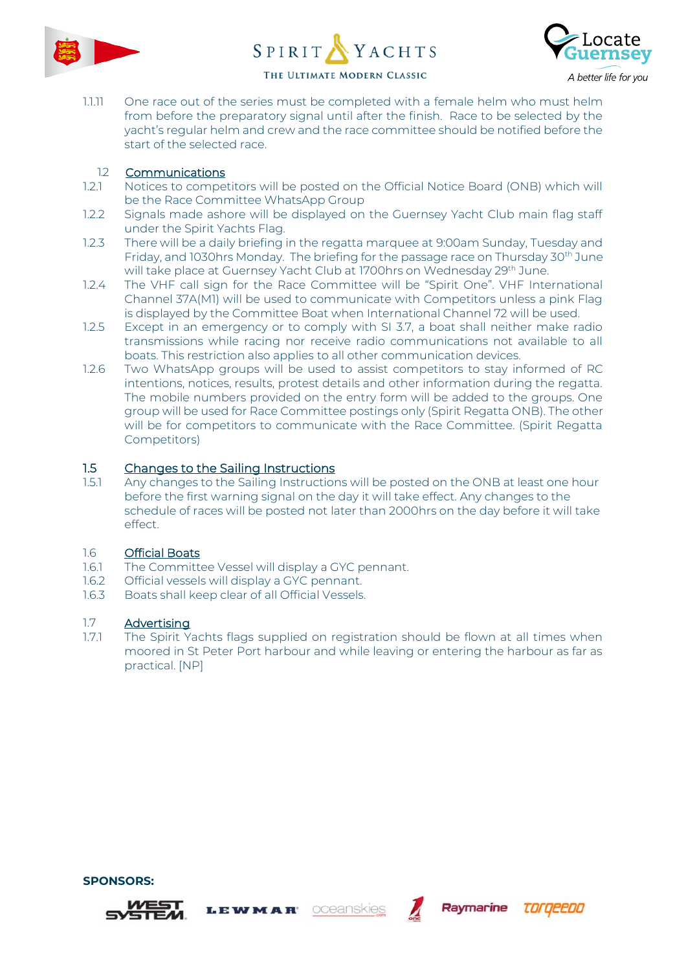





1.1.11 One race out of the series must be completed with a female helm who must helm from before the preparatory signal until after the finish. Race to be selected by the yacht's regular helm and crew and the race committee should be notified before the start of the selected race.

## 1.2 Communications

- 1.2.1 Notices to competitors will be posted on the Official Notice Board (ONB) which will be the Race Committee WhatsApp Group
- 1.2.2 Signals made ashore will be displayed on the Guernsey Yacht Club main flag staff under the Spirit Yachts Flag.
- 1.2.3 There will be a daily briefing in the regatta marquee at 9:00am Sunday, Tuesday and Friday, and 1030hrs Monday. The briefing for the passage race on Thursday 30th June will take place at Guernsey Yacht Club at 1700hrs on Wednesday 29<sup>th</sup> June.
- 1.2.4 The VHF call sign for the Race Committee will be "Spirit One". VHF International Channel 37A(M1) will be used to communicate with Competitors unless a pink Flag is displayed by the Committee Boat when International Channel 72 will be used.
- 1.2.5 Except in an emergency or to comply with SI 3.7, a boat shall neither make radio transmissions while racing nor receive radio communications not available to all boats. This restriction also applies to all other communication devices.
- 1.2.6 Two WhatsApp groups will be used to assist competitors to stay informed of RC intentions, notices, results, protest details and other information during the regatta. The mobile numbers provided on the entry form will be added to the groups. One group will be used for Race Committee postings only (Spirit Regatta ONB). The other will be for competitors to communicate with the Race Committee. (Spirit Regatta Competitors)

## 1.5 Changes to the Sailing Instructions

1.5.1 Any changes to the Sailing Instructions will be posted on the ONB at least one hour before the first warning signal on the day it will take effect. Any changes to the schedule of races will be posted not later than 2000hrs on the day before it will take effect.

## 1.6 Official Boats

1.6.1 The Committee Vessel will display a GYC pennant.

LEWMAR

- 1.6.2 Official vessels will display a GYC pennant.
- 1.6.3 Boats shall keep clear of all Official Vessels.

## 1.7 **Advertising**<br>171 The Spirit Y

The Spirit Yachts flags supplied on registration should be flown at all times when moored in St Peter Port harbour and while leaving or entering the harbour as far as practical. [NP]

oceanskies

Raymarine

TOrgeepo



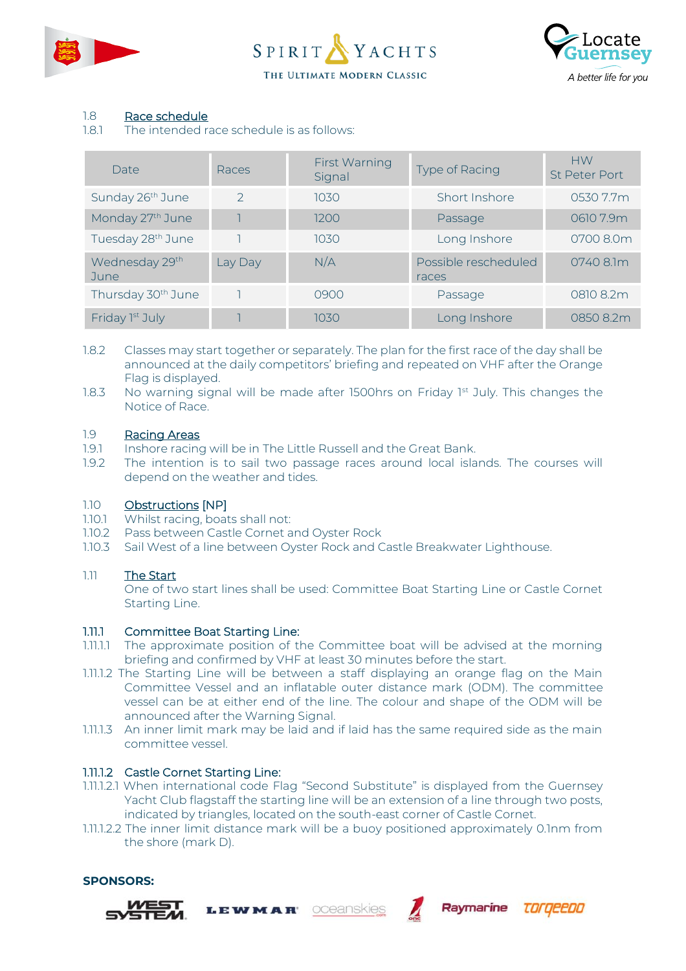





## 1.8 Race schedule

1.8.1 The intended race schedule is as follows:

| Date                           | Races         | First Warning<br>Signal | <b>Type of Racing</b>         | <b>HW</b><br><b>St Peter Port</b> |
|--------------------------------|---------------|-------------------------|-------------------------------|-----------------------------------|
| Sunday 26 <sup>th</sup> June   | $\mathcal{L}$ | 10.30                   | Short Inshore                 | 0530 7.7m                         |
| Monday 27 <sup>th</sup> June   |               | 1200                    | Passage                       | 06107.9m                          |
| Tuesday 28 <sup>th</sup> June  |               | 10.30                   | Long Inshore                  | 0700 8.0m                         |
| Wednesday 29th<br>June         | Lay Day       | N/A                     | Possible rescheduled<br>races | 0740 8.1m                         |
| Thursday 30 <sup>th</sup> June |               | 0900                    | Passage                       | 0810 8.2m                         |
| Friday 1st July                |               | 1030                    | Long Inshore                  | 0850 8.2m                         |

- 1.8.2 Classes may start together or separately. The plan for the first race of the day shall be announced at the daily competitors' briefing and repeated on VHF after the Orange Flag is displayed.
- 1.8.3 No warning signal will be made after 1500hrs on Friday 1st July. This changes the Notice of Race.

### 1.9 Racing Areas

- 1.9.1 Inshore racing will be in The Little Russell and the Great Bank.
- 1.9.2 The intention is to sail two passage races around local islands. The courses will depend on the weather and tides.

## 1.10 Obstructions [NP]

- 1.10.1 Whilst racing, boats shall not:
- 1.10.2 Pass between Castle Cornet and Oyster Rock

**LEWMAR** 

1.10.3 Sail West of a line between Oyster Rock and Castle Breakwater Lighthouse.

## 1.11 The Start

One of two start lines shall be used: Committee Boat Starting Line or Castle Cornet Starting Line.

## 1.11.1 Committee Boat Starting Line:

- 1.11.1.1 The approximate position of the Committee boat will be advised at the morning briefing and confirmed by VHF at least 30 minutes before the start.
- 1.11.1.2 The Starting Line will be between a staff displaying an orange flag on the Main Committee Vessel and an inflatable outer distance mark (ODM). The committee vessel can be at either end of the line. The colour and shape of the ODM will be announced after the Warning Signal.
- 1.11.1.3 An inner limit mark may be laid and if laid has the same required side as the main committee vessel.

## 1.11.1.2 Castle Cornet Starting Line:

- 1.11.1.2.1 When international code Flag "Second Substitute" is displayed from the Guernsey Yacht Club flagstaff the starting line will be an extension of a line through two posts, indicated by triangles, located on the south-east corner of Castle Cornet.
- 1.11.1.2.2 The inner limit distance mark will be a buoy positioned approximately 0.1nm from the shore (mark D).







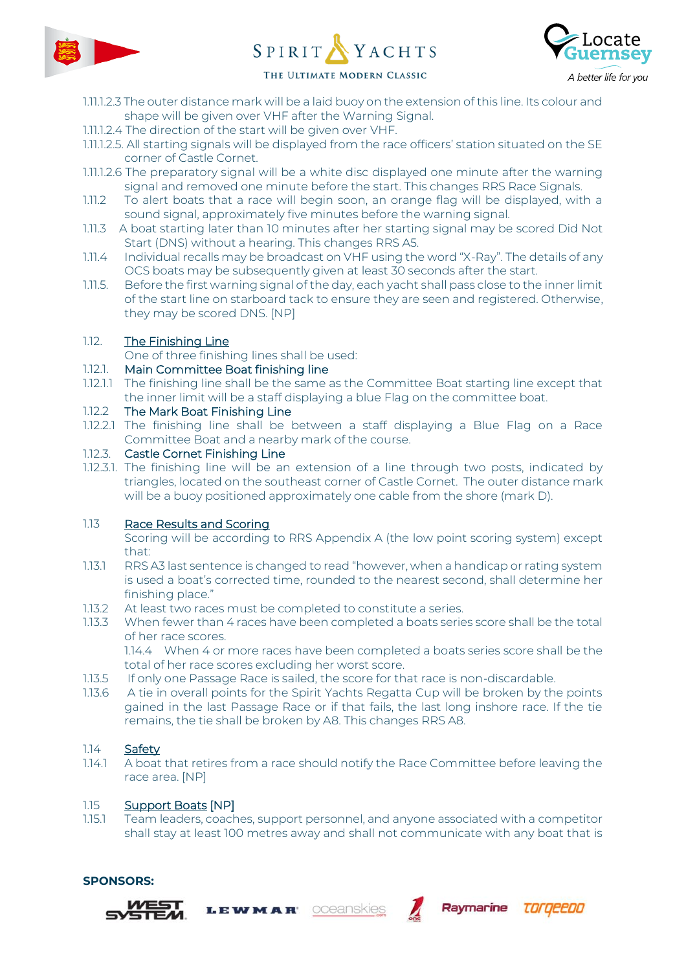





## THE ULTIMATE MODERN CLASSIC

- 1.11.1.2.3 The outer distance mark will be a laid buoy on the extension of this line. Its colour and shape will be given over VHF after the Warning Signal.
- 1.11.1.2.4 The direction of the start will be given over VHF.
- 1.11.1.2.5. All starting signals will be displayed from the race officers' station situated on the SE corner of Castle Cornet.
- 1.11.1.2.6 The preparatory signal will be a white disc displayed one minute after the warning signal and removed one minute before the start. This changes RRS Race Signals.
- 1.11.2 To alert boats that a race will begin soon, an orange flag will be displayed, with a sound signal, approximately five minutes before the warning signal.
- 1.11.3 A boat starting later than 10 minutes after her starting signal may be scored Did Not Start (DNS) without a hearing. This changes RRS A5.
- 1.11.4 Individual recalls may be broadcast on VHF using the word "X-Ray". The details of any OCS boats may be subsequently given at least 30 seconds after the start.
- 1.11.5. Before the first warning signal of the day, each yacht shall pass close to the inner limit of the start line on starboard tack to ensure they are seen and registered. Otherwise, they may be scored DNS. [NP]

## 1.12. The Finishing Line

One of three finishing lines shall be used:

## 1.12.1. Main Committee Boat finishing line

1.12.1.1 The finishing line shall be the same as the Committee Boat starting line except that the inner limit will be a staff displaying a blue Flag on the committee boat.

## 1.12.2 The Mark Boat Finishing Line

1.12.2.1 The finishing line shall be between a staff displaying a Blue Flag on a Race Committee Boat and a nearby mark of the course.

## 1.12.3. Castle Cornet Finishing Line

1.12.3.1. The finishing line will be an extension of a line through two posts, indicated by triangles, located on the southeast corner of Castle Cornet. The outer distance mark will be a buoy positioned approximately one cable from the shore (mark D).

## 1.13 Race Results and Scoring

Scoring will be according to RRS Appendix A (the low point scoring system) except that:

- 1.13.1 RRS A3 last sentence is changed to read "however, when a handicap or rating system is used a boat's corrected time, rounded to the nearest second, shall determine her finishing place."
- 1.13.2 At least two races must be completed to constitute a series.

**LEWMAR** 

1.13.3 When fewer than 4 races have been completed a boats series score shall be the total of her race scores.

1.14.4 When 4 or more races have been completed a boats series score shall be the total of her race scores excluding her worst score.

- 1.13.5 If only one Passage Race is sailed, the score for that race is non-discardable.
- 1.13.6 A tie in overall points for the Spirit Yachts Regatta Cup will be broken by the points gained in the last Passage Race or if that fails, the last long inshore race. If the tie remains, the tie shall be broken by A8. This changes RRS A8.

## 1.14 Safety

**SPONSORS:**

1.14.1 A boat that retires from a race should notify the Race Committee before leaving the race area. [NP]

## 1.15 Support Boats [NP]

1.15.1 Team leaders, coaches, support personnel, and anyone associated with a competitor shall stay at least 100 metres away and shall not communicate with any boat that is

oceanskies

Raymarine

torgeepo

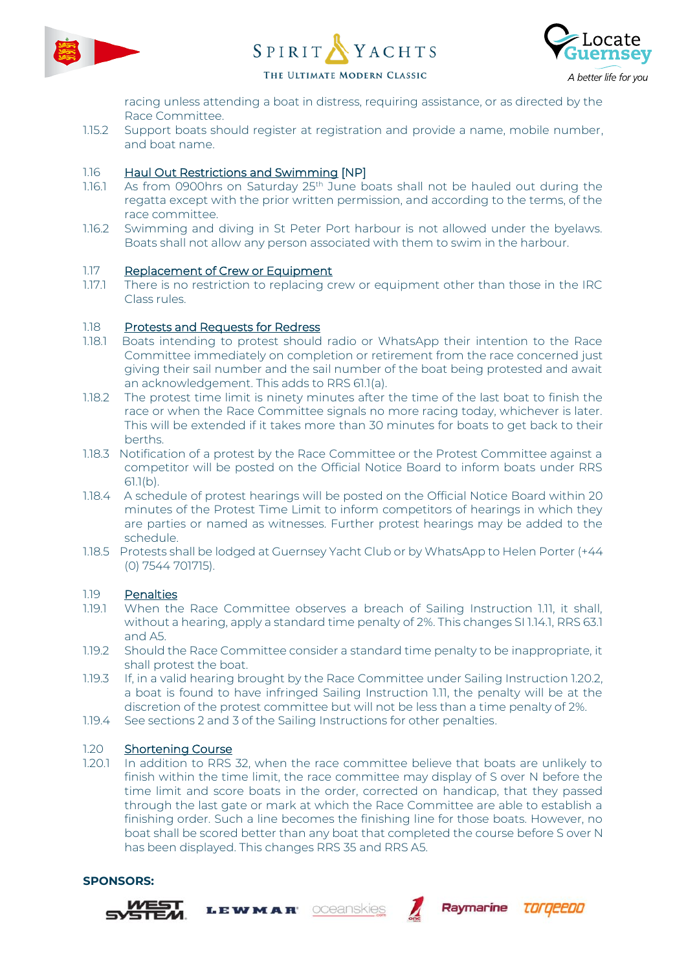





THE ULTIMATE MODERN CLASSIC

racing unless attending a boat in distress, requiring assistance, or as directed by the Race Committee.

1.15.2 Support boats should register at registration and provide a name, mobile number, and boat name.

## 1.16 Haul Out Restrictions and Swimming [NP]

- 1.16.1 As from 0900hrs on Saturday  $25<sup>th</sup>$  June boats shall not be hauled out during the regatta except with the prior written permission, and according to the terms, of the race committee.
- 1.16.2 Swimming and diving in St Peter Port harbour is not allowed under the byelaws. Boats shall not allow any person associated with them to swim in the harbour.

## 1.17 Replacement of Crew or Equipment

1.17.1 There is no restriction to replacing crew or equipment other than those in the IRC Class rules.

## 1.18 Protests and Requests for Redress

- 1.18.1 Boats intending to protest should radio or WhatsApp their intention to the Race Committee immediately on completion or retirement from the race concerned just giving their sail number and the sail number of the boat being protested and await an acknowledgement. This adds to RRS 61.1(a).
- 1.18.2 The protest time limit is ninety minutes after the time of the last boat to finish the race or when the Race Committee signals no more racing today, whichever is later. This will be extended if it takes more than 30 minutes for boats to get back to their berths.
- 1.18.3 Notification of a protest by the Race Committee or the Protest Committee against a competitor will be posted on the Official Notice Board to inform boats under RRS 61.1(b).
- 1.18.4 A schedule of protest hearings will be posted on the Official Notice Board within 20 minutes of the Protest Time Limit to inform competitors of hearings in which they are parties or named as witnesses. Further protest hearings may be added to the schedule.
- 1.18.5 Protests shall be lodged at Guernsey Yacht Club or by WhatsApp to Helen Porter (+44 (0) 7544 701715).

## 1.19 Penalties

- 1.19.1 When the Race Committee observes a breach of Sailing Instruction 1.11, it shall, without a hearing, apply a standard time penalty of 2%. This changes SI 1.14.1, RRS 63.1 and A5.
- 1.19.2 Should the Race Committee consider a standard time penalty to be inappropriate, it shall protest the boat.
- 1.19.3 If, in a valid hearing brought by the Race Committee under Sailing Instruction 1.20.2, a boat is found to have infringed Sailing Instruction 1.11, the penalty will be at the discretion of the protest committee but will not be less than a time penalty of 2%.
- 1.19.4 See sections 2 and 3 of the Sailing Instructions for other penalties.

LEWMAR

## 1.20 Shortening Course

1.20.1 In addition to RRS 32, when the race committee believe that boats are unlikely to finish within the time limit, the race committee may display of S over N before the time limit and score boats in the order, corrected on handicap, that they passed through the last gate or mark at which the Race Committee are able to establish a finishing order. Such a line becomes the finishing line for those boats. However, no boat shall be scored better than any boat that completed the course before S over N has been displayed. This changes RRS 35 and RRS A5.

oceanskies

Raymarine

**TOrgeebo** 

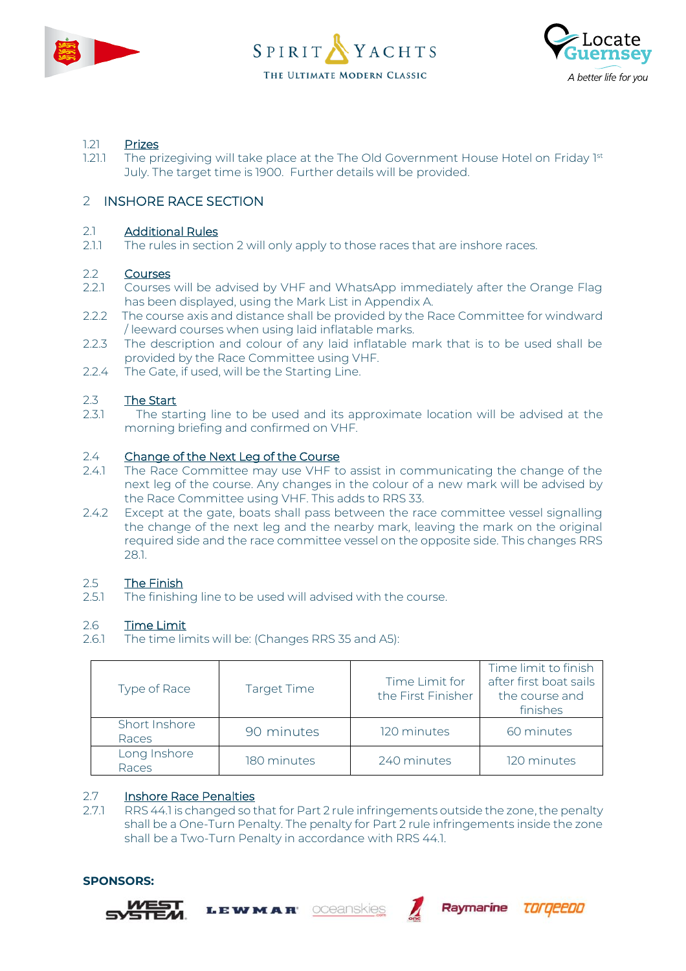





## 1.21 Prizes

1.21.1 The prizegiving will take place at the The Old Government House Hotel on Friday 1st July. The target time is 1900. Further details will be provided.

## 2 INSHORE RACE SECTION

## 2.1 Additional Rules

2.1.1 The rules in section 2 will only apply to those races that are inshore races.

## 2.2 Courses

- 2.2.1 Courses will be advised by VHF and WhatsApp immediately after the Orange Flag has been displayed, using the Mark List in Appendix A.
- 2.2.2 The course axis and distance shall be provided by the Race Committee for windward / leeward courses when using laid inflatable marks.
- 2.2.3 The description and colour of any laid inflatable mark that is to be used shall be provided by the Race Committee using VHF.
- 2.2.4 The Gate, if used, will be the Starting Line.

## 2.3 The Start

2.3.1 The starting line to be used and its approximate location will be advised at the morning briefing and confirmed on VHF.

## 2.4 Change of the Next Leg of the Course

- 2.4.1 The Race Committee may use VHF to assist in communicating the change of the next leg of the course. Any changes in the colour of a new mark will be advised by the Race Committee using VHF. This adds to RRS 33.
- 2.4.2 Except at the gate, boats shall pass between the race committee vessel signalling the change of the next leg and the nearby mark, leaving the mark on the original required side and the race committee vessel on the opposite side. This changes RRS 28.1.

## 2.5 The Finish

2.5.1 The finishing line to be used will advised with the course.

## 2.6 Time Limit

2.6.1 The time limits will be: (Changes RRS 35 and A5):

**LEWMAR** 

| Type of Race           | <b>Target Time</b> | Time Limit for<br>the First Finisher | Time limit to finish<br>after first boat sails<br>the course and<br>finishes |
|------------------------|--------------------|--------------------------------------|------------------------------------------------------------------------------|
| Short Inshore<br>Races | 90 minutes         | 120 minutes                          | 60 minutes                                                                   |
| Long Inshore<br>Races  | 180 minutes        | 240 minutes                          | 120 minutes                                                                  |

## 2.7 Inshore Race Penalties

2.7.1 RRS 44.1 is changed so that for Part 2 rule infringements outside the zone, the penalty shall be a One-Turn Penalty. The penalty for Part 2 rule infringements inside the zone shall be a Two-Turn Penalty in accordance with RRS 44.1.

oceanskies

Raymarine

torgeepo



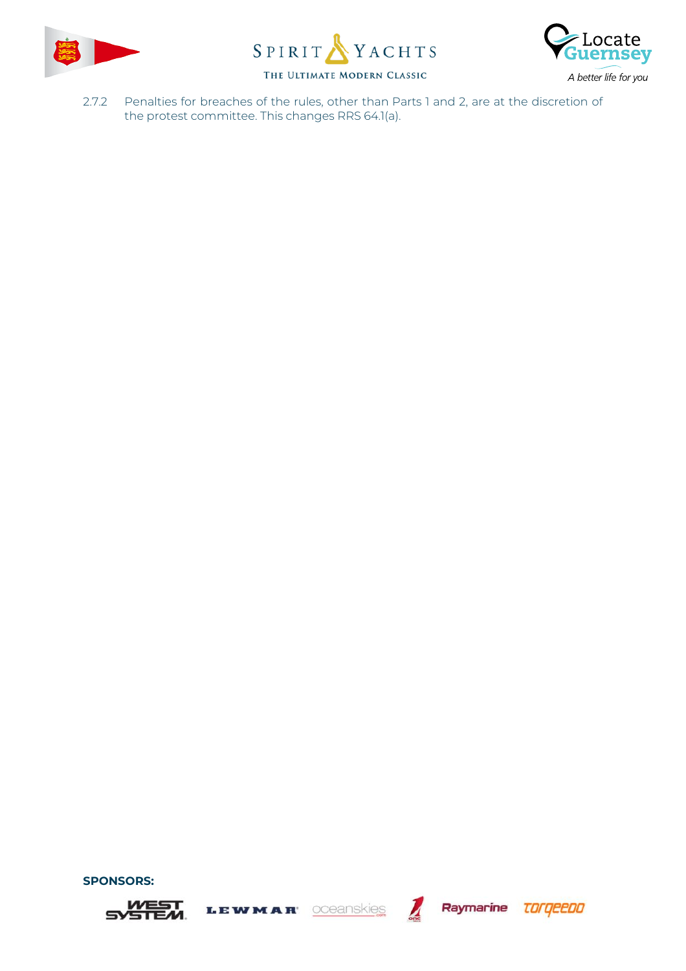





Raymarine **TOFGEEDO** 

2.7.2 Penalties for breaches of the rules, other than Parts 1 and 2, are at the discretion of the protest committee. This changes RRS 64.1(a).

oceanskies

LEWMAR



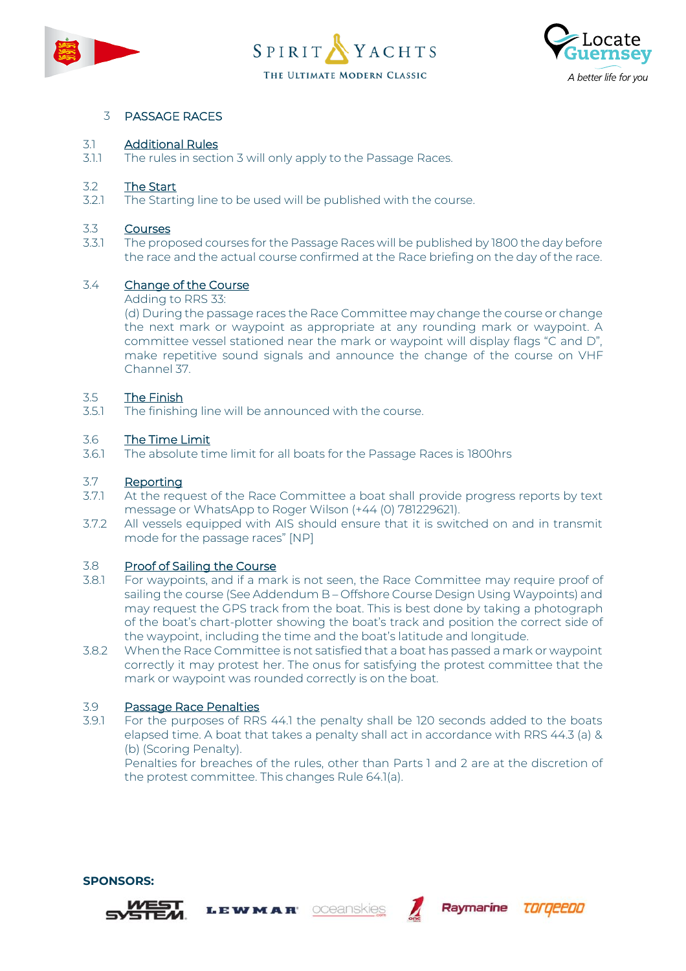





## 3 PASSAGE RACES

## 3.1 Additional Rules

3.1.1 The rules in section 3 will only apply to the Passage Races.

## 3.2 The Start<br>321 The Starti

The Starting line to be used will be published with the course.

## 3.3 Courses

3.3.1 The proposed courses for the Passage Races will be published by 1800 the day before the race and the actual course confirmed at the Race briefing on the day of the race.

## 3.4 Change of the Course

### Adding to RRS 33:

(d) During the passage races the Race Committee may change the course or change the next mark or waypoint as appropriate at any rounding mark or waypoint. A committee vessel stationed near the mark or waypoint will display flags "C and D", make repetitive sound signals and announce the change of the course on VHF Channel 37.

## 3.5 The Finish

3.5.1 The finishing line will be announced with the course.

## 3.6 The Time Limit

3.6.1 The absolute time limit for all boats for the Passage Races is 1800hrs

### 3.7 Reporting

- 3.7.1 At the request of the Race Committee a boat shall provide progress reports by text message or WhatsApp to Roger Wilson (+44 (0) 781229621).
- 3.7.2 All vessels equipped with AIS should ensure that it is switched on and in transmit mode for the passage races" [NP]

## 3.8 Proof of Sailing the Course

- 3.8.1 For waypoints, and if a mark is not seen, the Race Committee may require proof of sailing the course (See Addendum B – Offshore Course Design Using Waypoints) and may request the GPS track from the boat. This is best done by taking a photograph of the boat's chart-plotter showing the boat's track and position the correct side of the waypoint, including the time and the boat's latitude and longitude.
- 3.8.2 When the Race Committee is not satisfied that a boat has passed a mark or waypoint correctly it may protest her. The onus for satisfying the protest committee that the mark or waypoint was rounded correctly is on the boat.

## 3.9 Passage Race Penalties

3.9.1 For the purposes of RRS 44.1 the penalty shall be 120 seconds added to the boats elapsed time. A boat that takes a penalty shall act in accordance with RRS 44.3 (a) & (b) (Scoring Penalty).

oceanskies

**LEWMAR** 

Penalties for breaches of the rules, other than Parts 1 and 2 are at the discretion of the protest committee. This changes Rule 64.1(a).

Raymarine

torgeepo

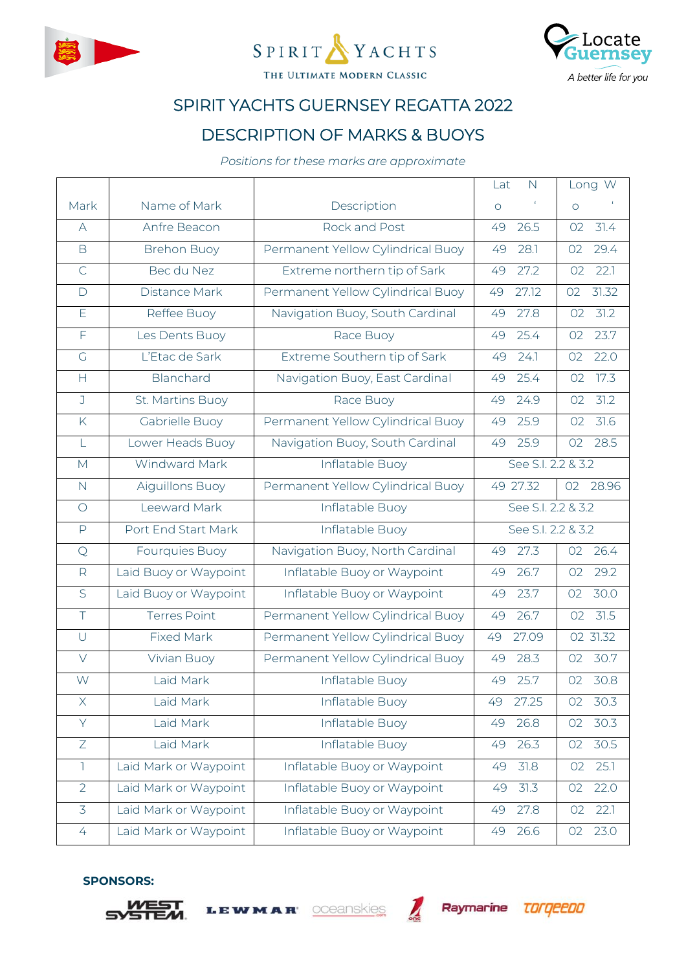





# SPIRIT YACHTS GUERNSEY REGATTA 2022

## DESCRIPTION OF MARKS & BUOYS

*Positions for these marks are approximate*

|                   |                       |                                   | Lat<br>$\mathsf{N}$ | Long W                  |
|-------------------|-----------------------|-----------------------------------|---------------------|-------------------------|
| Mark              | Name of Mark          | Description                       | $\circ$             | $\circ$                 |
| $\forall$         | Anfre Beacon          | Rock and Post                     | 26.5<br>49          | 31.4<br>02              |
| B                 | <b>Brehon Buoy</b>    | Permanent Yellow Cylindrical Buoy | 49<br>28.1          | 29.4<br>O2              |
| $\mathsf{C}$      | Bec du Nez            | Extreme northern tip of Sark      | 27.2<br>49          | 22.1<br>02              |
| $\Box$            | Distance Mark         | Permanent Yellow Cylindrical Buoy | 27.12<br>49         | 31.32<br>O2             |
| E                 | Reffee Buoy           | Navigation Buoy, South Cardinal   | 27.8<br>49          | 31.2<br>O2              |
| $\overline{F}$    | Les Dents Buoy        | Race Buoy                         | 25.4<br>49          | 23.7<br>O2              |
| $\overline{G}$    | L'Etac de Sark        | Extreme Southern tip of Sark      | 49<br>24.1          | 22.0<br>O2              |
| H                 | Blanchard             | Navigation Buoy, East Cardinal    | 25.4<br>49          | 17.3<br>02              |
| J                 | St. Martins Buoy      | Race Buoy                         | 24.9<br>49          | 31.2<br>O2              |
| K                 | Gabrielle Buoy        | Permanent Yellow Cylindrical Buoy | 25.9<br>49          | 31.6<br>02              |
| L                 | Lower Heads Buoy      | Navigation Buoy, South Cardinal   | 25.9<br>49          | 28.5<br>02              |
| M                 | Windward Mark         | Inflatable Buoy                   | See S.I. 2.2 & 3.2  |                         |
| $\mathsf{N}$      | Aiguillons Buoy       | Permanent Yellow Cylindrical Buoy | 49 27.32            | 28.96<br>02             |
| $\bigcirc$        | Leeward Mark          | Inflatable Buoy                   | See S.I. 2.2 & 3.2  |                         |
| $\mathsf{P}$      | Port End Start Mark   | Inflatable Buoy                   | See S.I. 2.2 & 3.2  |                         |
| $\mathsf{Q}$      | Fourquies Buoy        | Navigation Buoy, North Cardinal   | 27.3<br>49          | $02 \quad 26.4$         |
| $\mathsf{R}$      | Laid Buoy or Waypoint | Inflatable Buoy or Waypoint       | 26.7<br>49          | 29.2<br>02              |
| $\overline{S}$    | Laid Buoy or Waypoint | Inflatable Buoy or Waypoint       | 23.7<br>49          | 30.0<br>O2              |
| $\overline{\top}$ | <b>Terres Point</b>   | Permanent Yellow Cylindrical Buoy | 26.7<br>49          | $\overline{31.5}$<br>02 |
| $\cup$            | <b>Fixed Mark</b>     | Permanent Yellow Cylindrical Buoy | 27.09<br>49         | 02 31.32                |
| $\vee$            | Vivian Buoy           | Permanent Yellow Cylindrical Buoy | 28.3<br>49          | 30.7<br>02              |
| W                 | Laid Mark             | Inflatable Buoy                   | 25.7<br>49          | O <sub>2</sub><br>30.8  |
| X                 | Laid Mark             | Inflatable Buoy                   | 49<br>27.25         | 02 30.3                 |
| Y                 | Laid Mark             | Inflatable Buoy                   | 26.8<br>49          | 30.3<br>O2              |
| $\overline{Z}$    | Laid Mark             | Inflatable Buoy                   | 26.3<br>49          | 30.5<br>O2              |
| $\mathbb{I}$      | Laid Mark or Waypoint | Inflatable Buoy or Waypoint       | 31.8<br>49          | 25.1<br>O2              |
| $\overline{2}$    | Laid Mark or Waypoint | Inflatable Buoy or Waypoint       | 31.3<br>49          | 22.0<br>O2              |
| $\overline{3}$    | Laid Mark or Waypoint | Inflatable Buoy or Waypoint       | 27.8<br>49          | 22.1<br>02              |
| $\overline{4}$    | Laid Mark or Waypoint | Inflatable Buoy or Waypoint       | 26.6<br>49          | 23.0<br>O2              |
|                   |                       |                                   |                     |                         |